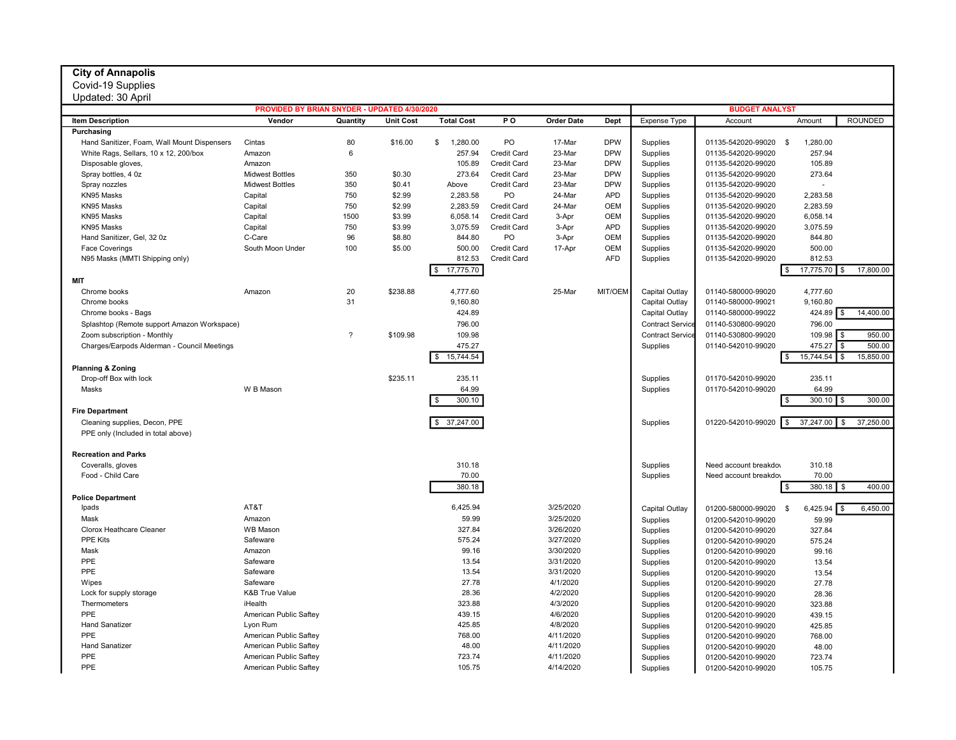## City of Annapolis

Covid-19 Supplies

## Updated: 30 April

| Updated: 30 April                           |                                              |                |                  |                        |                    |                   |                       |                         |                       |                      |                              |
|---------------------------------------------|----------------------------------------------|----------------|------------------|------------------------|--------------------|-------------------|-----------------------|-------------------------|-----------------------|----------------------|------------------------------|
|                                             | PROVIDED BY BRIAN SNYDER - UPDATED 4/30/2020 |                |                  |                        |                    |                   | <b>BUDGET ANALYST</b> |                         |                       |                      |                              |
| <b>Item Description</b>                     | Vendor                                       | Quantity       | <b>Unit Cost</b> | <b>Total Cost</b>      | P O                | <b>Order Date</b> | Dept                  | <b>Expense Type</b>     | Account               | Amount               | <b>ROUNDED</b>               |
| Purchasing                                  |                                              |                |                  |                        |                    |                   |                       |                         |                       |                      |                              |
| Hand Sanitizer, Foam, Wall Mount Dispensers | Cintas                                       | 80             | \$16.00          | \$<br>1,280.00         | PO                 | 17-Mar            | <b>DPW</b>            | Supplies                | 01135-542020-99020    | <b>S</b><br>1,280.00 |                              |
| White Rags, Sellars, 10 x 12, 200/box       | Amazon                                       | 6              |                  | 257.94                 | Credit Card        | 23-Mar            | <b>DPW</b>            | Supplies                | 01135-542020-99020    | 257.94               |                              |
| Disposable gloves,                          | Amazon                                       |                |                  | 105.89                 | Credit Card        | 23-Mar            | <b>DPW</b>            | Supplies                | 01135-542020-99020    | 105.89               |                              |
| Spray bottles, 4 0z                         | <b>Midwest Bottles</b>                       | 350            | \$0.30           | 273.64                 | Credit Card        | 23-Mar            | <b>DPW</b>            | Supplies                | 01135-542020-99020    | 273.64               |                              |
| Spray nozzles                               | <b>Midwest Bottles</b>                       | 350            | \$0.41           | Above                  | Credit Card        | 23-Mar            | <b>DPW</b>            | Supplies                | 01135-542020-99020    |                      |                              |
| KN95 Masks                                  | Capital                                      | 750            | \$2.99           | 2,283.58               | PO                 | 24-Mar            | <b>APD</b>            | Supplies                | 01135-542020-99020    | 2,283.58             |                              |
| KN95 Masks                                  | Capital                                      | 750            | \$2.99           | 2,283.59               | <b>Credit Card</b> | 24-Mar            | <b>OEM</b>            | Supplies                | 01135-542020-99020    | 2,283.59             |                              |
| KN95 Masks                                  | Capital                                      | 1500           | \$3.99           | 6,058.14               | <b>Credit Card</b> | 3-Apr             | <b>OEM</b>            | Supplies                | 01135-542020-99020    | 6,058.14             |                              |
| KN95 Masks                                  | Capital                                      | 750            | \$3.99           | 3,075.59               | <b>Credit Card</b> | 3-Apr             | <b>APD</b>            | Supplies                | 01135-542020-99020    | 3,075.59             |                              |
| Hand Sanitizer, Gel, 32 0z                  | C-Care                                       | 96             | \$8.80           | 844.80                 | PO                 | 3-Apr             | <b>OEM</b>            | Supplies                | 01135-542020-99020    | 844.80               |                              |
| <b>Face Coverings</b>                       | South Moon Under                             | 100            | \$5.00           | 500.00                 | Credit Card        | 17-Apr            | <b>OEM</b>            | Supplies                | 01135-542020-99020    | 500.00               |                              |
| N95 Masks (MMTI Shipping only)              |                                              |                |                  | 812.53                 | Credit Card        |                   | <b>AFD</b>            | Supplies                | 01135-542020-99020    | 812.53               |                              |
|                                             |                                              |                |                  | \$ 17,775.70           |                    |                   |                       |                         |                       | 17,775.70<br>\$      | 17,800.00<br>- \$            |
| <b>MIT</b>                                  |                                              |                |                  |                        |                    |                   |                       |                         |                       |                      |                              |
| Chrome books                                | Amazon                                       | 20             | \$238.88         | 4,777.60               |                    | 25-Mar            | MIT/OEM               | Capital Outlay          | 01140-580000-99020    | 4,777.60             |                              |
| Chrome books                                |                                              | 31             |                  | 9,160.80               |                    |                   |                       | Capital Outlay          | 01140-580000-99021    | 9,160.80             |                              |
| Chrome books - Bags                         |                                              |                |                  | 424.89                 |                    |                   |                       | Capital Outlay          | 01140-580000-99022    | 424.89               | 14,400.00                    |
| Splashtop (Remote support Amazon Workspace) |                                              |                |                  | 796.00                 |                    |                   |                       | <b>Contract Service</b> | 01140-530800-99020    | 796.00               |                              |
| Zoom subscription - Monthly                 |                                              | $\overline{?}$ | \$109.98         | 109.98                 |                    |                   |                       | <b>Contract Service</b> | 01140-530800-99020    | $109.98$ \ \$        | 950.00                       |
| Charges/Earpods Alderman - Council Meetings |                                              |                |                  | 475.27                 |                    |                   |                       | Supplies                | 01140-542010-99020    | 475.27               | $\mathbf{\hat{S}}$<br>500.00 |
|                                             |                                              |                |                  | 15,744.54<br><b>S</b>  |                    |                   |                       |                         |                       | 15,744.54<br>\$      | 15,850.00<br>\$              |
|                                             |                                              |                |                  |                        |                    |                   |                       |                         |                       |                      |                              |
| <b>Planning &amp; Zoning</b>                |                                              |                |                  |                        |                    |                   |                       |                         |                       |                      |                              |
| Drop-off Box with lock                      |                                              |                | \$235.11         | 235.11                 |                    |                   |                       | Supplies                | 01170-542010-99020    | 235.11               |                              |
| Masks                                       | W B Mason                                    |                |                  | 64.99                  |                    |                   |                       | Supplies                | 01170-542010-99020    | 64.99                |                              |
|                                             |                                              |                |                  | 300.10<br>l \$         |                    |                   |                       |                         |                       | 300.10               | 300.00<br>\$                 |
| <b>Fire Department</b>                      |                                              |                |                  |                        |                    |                   |                       |                         |                       |                      |                              |
| Cleaning supplies, Decon, PPE               |                                              |                |                  | 37,247.00<br><b>\$</b> |                    |                   |                       | Supplies                | 01220-542010-99020    | 37,247.00<br>\$      | 37,250.00<br>- \$            |
| PPE only (Included in total above)          |                                              |                |                  |                        |                    |                   |                       |                         |                       |                      |                              |
|                                             |                                              |                |                  |                        |                    |                   |                       |                         |                       |                      |                              |
| <b>Recreation and Parks</b>                 |                                              |                |                  |                        |                    |                   |                       |                         |                       |                      |                              |
| Coveralls, gloves                           |                                              |                |                  | 310.18                 |                    |                   |                       | Supplies                | Need account breakdoy | 310.18               |                              |
| Food - Child Care                           |                                              |                |                  | 70.00                  |                    |                   |                       | Supplies                | Need account breakdov | 70.00                |                              |
|                                             |                                              |                |                  | 380.18                 |                    |                   |                       |                         |                       | 380.18<br>- 35       | 400.00<br>- \$               |
| <b>Police Department</b>                    |                                              |                |                  |                        |                    |                   |                       |                         |                       |                      |                              |
| Ipads                                       | AT&T                                         |                |                  | 6,425.94               |                    | 3/25/2020         |                       | Capital Outlay          | 01200-580000-99020    | 6,425.94<br><b>S</b> | 6,450.00                     |
| Mask                                        | Amazon                                       |                |                  | 59.99                  |                    | 3/25/2020         |                       | Supplies                | 01200-542010-99020    | 59.99                |                              |
| <b>Clorox Heathcare Cleaner</b>             | <b>WB Mason</b>                              |                |                  | 327.84                 |                    | 3/26/2020         |                       | Supplies                | 01200-542010-99020    | 327.84               |                              |
| <b>PPE Kits</b>                             | Safeware                                     |                |                  | 575.24                 |                    | 3/27/2020         |                       | Supplies                | 01200-542010-99020    | 575.24               |                              |
| Mask                                        | Amazon                                       |                |                  | 99.16                  |                    | 3/30/2020         |                       | Supplies                | 01200-542010-99020    | 99.16                |                              |
| PPE                                         | Safeware                                     |                |                  | 13.54                  |                    | 3/31/2020         |                       | Supplies                | 01200-542010-99020    | 13.54                |                              |
| PPE                                         | Safeware                                     |                |                  | 13.54                  |                    | 3/31/2020         |                       | Supplies                | 01200-542010-99020    | 13.54                |                              |
| Wipes                                       | Safeware                                     |                |                  | 27.78                  |                    | 4/1/2020          |                       | Supplies                | 01200-542010-99020    | 27.78                |                              |
| Lock for supply storage                     | <b>K&amp;B True Value</b>                    |                |                  | 28.36                  |                    | 4/2/2020          |                       | Supplies                | 01200-542010-99020    | 28.36                |                              |
| Thermometers                                | iHealth                                      |                |                  | 323.88                 |                    | 4/3/2020          |                       | Supplies                | 01200-542010-99020    | 323.88               |                              |
| PPE                                         | American Public Saftey                       |                |                  | 439.15                 |                    | 4/6/2020          |                       | Supplies                | 01200-542010-99020    | 439.15               |                              |
| <b>Hand Sanatizer</b>                       | Lyon Rum                                     |                |                  | 425.85                 |                    | 4/8/2020          |                       | Supplies                | 01200-542010-99020    | 425.85               |                              |
| PPE                                         | American Public Saftey                       |                |                  | 768.00                 |                    | 4/11/2020         |                       | Supplies                | 01200-542010-99020    | 768.00               |                              |
| <b>Hand Sanatizer</b>                       | American Public Saftey                       |                |                  | 48.00                  |                    | 4/11/2020         |                       | Supplies                | 01200-542010-99020    | 48.00                |                              |
| PPE                                         | American Public Saftey                       |                |                  | 723.74                 |                    | 4/11/2020         |                       | Supplies                | 01200-542010-99020    | 723.74               |                              |
| PPE                                         | American Public Saftey                       |                |                  | 105.75                 |                    | 4/14/2020         |                       | Supplies                | 01200-542010-99020    | 105.75               |                              |